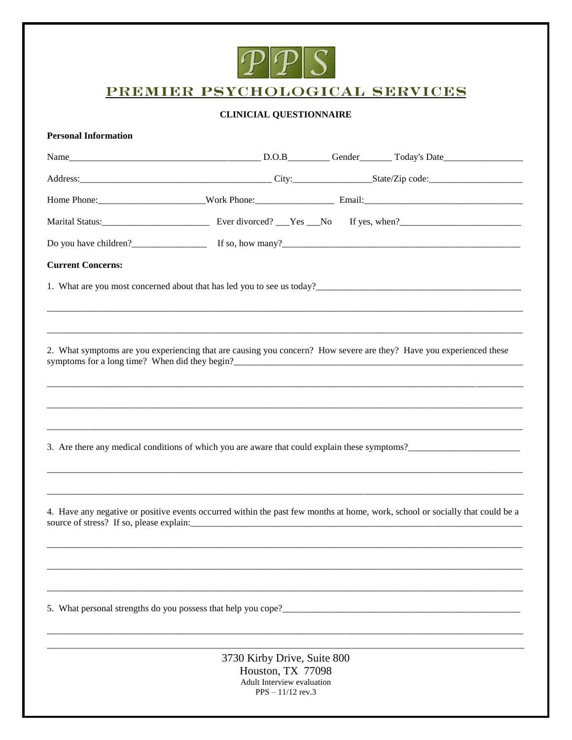

# PREMIER PSYCHOLOGICAL SERVICES

## **CLINICIAL QUESTIONNAIRE**

## **Personal Information**

| Do you have children?<br><u>If so, how many?<br/> If so, how many?</u>                                                                                                                                                                |                             |  |  |
|---------------------------------------------------------------------------------------------------------------------------------------------------------------------------------------------------------------------------------------|-----------------------------|--|--|
| <b>Current Concerns:</b>                                                                                                                                                                                                              |                             |  |  |
| 1. What are you most concerned about that has led you to see us today?<br>1. What are you most concerned about that has led you to see us today?                                                                                      |                             |  |  |
|                                                                                                                                                                                                                                       |                             |  |  |
|                                                                                                                                                                                                                                       |                             |  |  |
| 2. What symptoms are you experiencing that are causing you concern? How severe are they? Have you experienced these                                                                                                                   |                             |  |  |
|                                                                                                                                                                                                                                       |                             |  |  |
|                                                                                                                                                                                                                                       |                             |  |  |
| 3. Are there any medical conditions of which you are aware that could explain these symptoms?                                                                                                                                         |                             |  |  |
|                                                                                                                                                                                                                                       |                             |  |  |
| 4. Have any negative or positive events occurred within the past few months at home, work, school or socially that could be a                                                                                                         |                             |  |  |
|                                                                                                                                                                                                                                       |                             |  |  |
|                                                                                                                                                                                                                                       |                             |  |  |
| 5. What personal strengths do you possess that help you cope?<br><u>Letting</u> the strength of the strengths of you results and the post of the strength of the strength of the strength of the strength of the strength of the stre |                             |  |  |
|                                                                                                                                                                                                                                       | 3730 Kirby Drive, Suite 800 |  |  |

o Kirby Drive, Suite<br>Houston, TX 77098 Adult Interview evaluation<br>PPS –  $11/12$  rev.3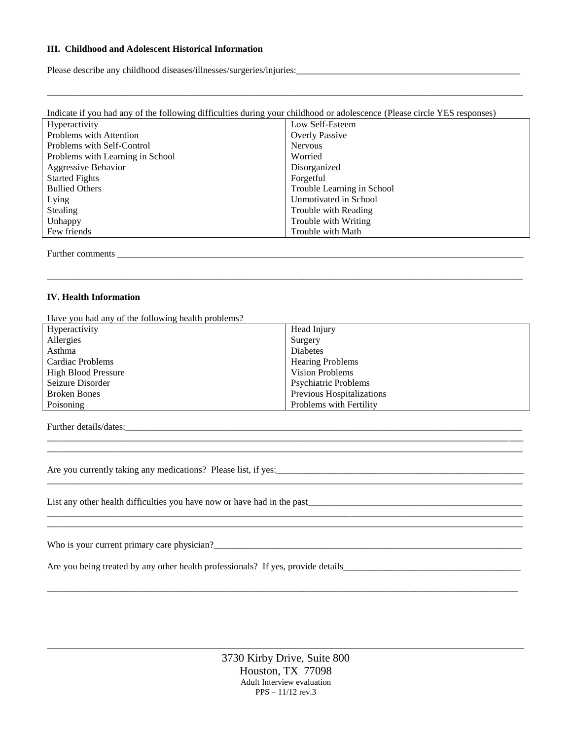#### **III. Childhood and Adolescent Historical Information**

Please describe any childhood diseases/illnesses/surgeries/injuries:\_\_\_\_\_\_\_\_\_\_\_\_\_\_\_\_\_\_\_\_\_\_\_\_\_\_\_\_\_\_\_\_\_\_\_\_\_\_\_\_\_\_\_\_\_\_\_\_

| Indicate if you had any of the following difficulties during your childhood or adolescence (Please circle YES responses) |                            |  |  |
|--------------------------------------------------------------------------------------------------------------------------|----------------------------|--|--|
| <b>Hyperactivity</b>                                                                                                     | Low Self-Esteem            |  |  |
| Problems with Attention                                                                                                  | <b>Overly Passive</b>      |  |  |
| Problems with Self-Control                                                                                               | <b>Nervous</b>             |  |  |
| Problems with Learning in School                                                                                         | Worried                    |  |  |
| Aggressive Behavior                                                                                                      | Disorganized               |  |  |
| <b>Started Fights</b>                                                                                                    | Forgetful                  |  |  |
| <b>Bullied Others</b>                                                                                                    | Trouble Learning in School |  |  |
| Lying                                                                                                                    | Unmotivated in School      |  |  |
| <b>Stealing</b>                                                                                                          | Trouble with Reading       |  |  |
| Unhappy                                                                                                                  | Trouble with Writing       |  |  |
| Few friends                                                                                                              | Trouble with Math          |  |  |
|                                                                                                                          |                            |  |  |

\_\_\_\_\_\_\_\_\_\_\_\_\_\_\_\_\_\_\_\_\_\_\_\_\_\_\_\_\_\_\_\_\_\_\_\_\_\_\_\_\_\_\_\_\_\_\_\_\_\_\_\_\_\_\_\_\_\_\_\_\_\_\_\_\_\_\_\_\_\_\_\_\_\_\_\_\_\_\_\_\_\_\_\_\_\_\_\_\_\_\_\_\_\_\_\_\_\_\_\_\_\_

Further comments

#### **IV. Health Information**

Have you had any of the following health problems?

| Hyperactivity              | Head Injury                 |
|----------------------------|-----------------------------|
| Allergies                  | Surgery                     |
| Asthma                     | Diabetes                    |
| Cardiac Problems           | <b>Hearing Problems</b>     |
| <b>High Blood Pressure</b> | <b>Vision Problems</b>      |
| Seizure Disorder           | <b>Psychiatric Problems</b> |
| <b>Broken Bones</b>        | Previous Hospitalizations   |
| Poisoning                  | Problems with Fertility     |

\_\_\_\_\_\_\_\_\_\_\_\_\_\_\_\_\_\_\_\_\_\_\_\_\_\_\_\_\_\_\_\_\_\_\_\_\_\_\_\_\_\_\_\_\_\_\_\_\_\_\_\_\_\_\_\_\_\_\_\_\_\_\_\_\_\_\_\_\_\_\_\_\_\_\_\_\_\_\_\_\_\_\_\_\_\_\_\_\_\_\_\_\_\_\_\_\_\_\_\_\_\_ \_\_\_\_\_\_\_\_\_\_\_\_\_\_\_\_\_\_\_\_\_\_\_\_\_\_\_\_\_\_\_\_\_\_\_\_\_\_\_\_\_\_\_\_\_\_\_\_\_\_\_\_\_\_\_\_\_\_\_\_\_\_\_\_\_\_\_\_\_\_\_\_\_\_\_\_\_\_\_\_\_\_\_\_\_\_\_\_\_\_\_\_\_\_\_\_\_\_\_\_\_\_

\_\_\_\_\_\_\_\_\_\_\_\_\_\_\_\_\_\_\_\_\_\_\_\_\_\_\_\_\_\_\_\_\_\_\_\_\_\_\_\_\_\_\_\_\_\_\_\_\_\_\_\_\_\_\_\_\_\_\_\_\_\_\_\_\_\_\_\_\_\_\_\_\_\_\_\_\_\_\_\_\_\_\_\_\_\_\_\_\_\_\_\_\_\_\_\_\_\_\_\_\_\_

\_\_\_\_\_\_\_\_\_\_\_\_\_\_\_\_\_\_\_\_\_\_\_\_\_\_\_\_\_\_\_\_\_\_\_\_\_\_\_\_\_\_\_\_\_\_\_\_\_\_\_\_\_\_\_\_\_\_\_\_\_\_\_\_\_\_\_\_\_\_\_\_\_\_\_\_\_\_\_\_\_\_\_\_\_\_\_\_\_\_\_\_\_\_\_\_\_\_\_\_\_\_

\_\_\_\_\_\_\_\_\_\_\_\_\_\_\_\_\_\_\_\_\_\_\_\_\_\_\_\_\_\_\_\_\_\_\_\_\_\_\_\_\_\_\_\_\_\_\_\_\_\_\_\_\_\_\_\_\_\_\_\_\_\_\_\_\_\_\_\_\_\_\_\_\_\_\_\_\_\_\_\_\_\_\_\_\_\_\_\_\_\_\_\_\_\_\_\_\_\_\_\_\_

\_\_\_\_\_\_\_\_\_\_\_\_\_\_\_\_\_\_\_\_\_\_\_\_\_\_\_\_\_\_\_\_\_\_\_\_\_\_\_\_\_\_\_\_\_\_\_\_\_\_\_\_\_\_\_\_\_\_\_\_\_\_\_\_\_\_\_\_\_\_\_\_\_\_\_\_\_\_\_\_\_\_\_\_\_\_\_\_\_\_\_\_\_\_\_\_\_\_\_\_\_\_

Further details/dates:

Are you currently taking any medications? Please list, if yes:

List any other health difficulties you have now or have had in the past\_\_\_\_\_\_\_\_\_\_\_\_\_\_\_\_\_\_\_\_\_\_\_\_\_\_\_\_\_\_\_\_\_\_\_\_\_\_\_\_\_\_\_\_\_\_

Who is your current primary care physician?\_\_\_\_\_\_\_\_\_\_\_\_\_\_\_\_\_\_\_\_\_\_\_\_\_\_\_\_\_\_\_\_\_\_\_\_\_\_\_\_\_\_\_\_\_\_\_\_\_\_\_\_\_\_\_\_\_\_\_\_\_\_\_\_\_\_

Are you being treated by any other health professionals? If yes, provide details\_\_\_\_\_\_\_\_\_\_\_\_\_\_\_\_\_\_\_\_\_\_\_\_\_\_\_\_\_\_\_\_\_\_\_\_\_\_

3730 Kirby Drive, Suite 800 Houston, TX 77098 Adult Interview evaluation PPS – 11/12 rev.3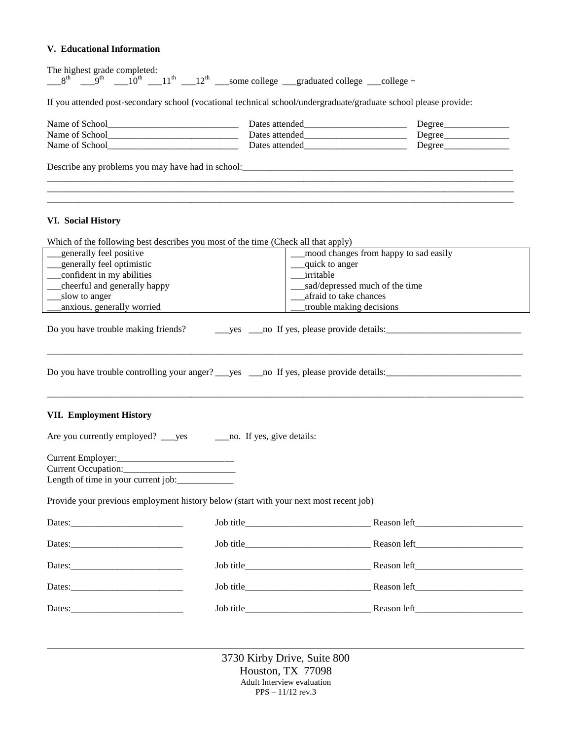## **V. Educational Information**

| If you attended post-secondary school (vocational technical school/undergraduate/graduate school please provide:<br>_generally feel positive<br>mood changes from happy to sad easily<br>_quick to anger<br>irritable<br>__sad/depressed much of the time<br>afraid to take chances<br>_slow to anger<br>anxious, generally worried<br>trouble making decisions                                                | The highest grade completed:<br>$8^{\text{th}}$ $9^{\text{th}}$ $10^{\text{th}}$ $11^{\text{th}}$ $11^{\text{th}}$ $12^{\text{th}}$ some college graduated college graduated college + |  |  |  |
|----------------------------------------------------------------------------------------------------------------------------------------------------------------------------------------------------------------------------------------------------------------------------------------------------------------------------------------------------------------------------------------------------------------|----------------------------------------------------------------------------------------------------------------------------------------------------------------------------------------|--|--|--|
| Name of School<br><u>Name of School</u><br>__cheerful and generally happy<br>Do you have trouble making friends?<br><b>VII. Employment History</b><br>Are you currently employed? _____ yes _________ no. If yes, give details:<br>Length of time in your current job:<br>Provide your previous employment history below (start with your next most recent job)                                                |                                                                                                                                                                                        |  |  |  |
| <b>VI. Social History</b><br>Which of the following best describes you most of the time (Check all that apply)<br>_generally feel optimistic<br>___confident in my abilities<br>Dates: 2008 and 2008 and 2008 and 2008 and 2008 and 2008 and 2008 and 2008 and 2008 and 2008 and 2008 and 2008 and 2008 and 2008 and 2008 and 2008 and 2008 and 2008 and 2008 and 2008 and 2008 and 2008 and 2008 and 2008 and |                                                                                                                                                                                        |  |  |  |
|                                                                                                                                                                                                                                                                                                                                                                                                                |                                                                                                                                                                                        |  |  |  |
|                                                                                                                                                                                                                                                                                                                                                                                                                |                                                                                                                                                                                        |  |  |  |
|                                                                                                                                                                                                                                                                                                                                                                                                                |                                                                                                                                                                                        |  |  |  |
|                                                                                                                                                                                                                                                                                                                                                                                                                |                                                                                                                                                                                        |  |  |  |
|                                                                                                                                                                                                                                                                                                                                                                                                                |                                                                                                                                                                                        |  |  |  |
|                                                                                                                                                                                                                                                                                                                                                                                                                |                                                                                                                                                                                        |  |  |  |
|                                                                                                                                                                                                                                                                                                                                                                                                                |                                                                                                                                                                                        |  |  |  |
|                                                                                                                                                                                                                                                                                                                                                                                                                |                                                                                                                                                                                        |  |  |  |
|                                                                                                                                                                                                                                                                                                                                                                                                                |                                                                                                                                                                                        |  |  |  |
|                                                                                                                                                                                                                                                                                                                                                                                                                |                                                                                                                                                                                        |  |  |  |
|                                                                                                                                                                                                                                                                                                                                                                                                                |                                                                                                                                                                                        |  |  |  |
|                                                                                                                                                                                                                                                                                                                                                                                                                |                                                                                                                                                                                        |  |  |  |
|                                                                                                                                                                                                                                                                                                                                                                                                                |                                                                                                                                                                                        |  |  |  |
|                                                                                                                                                                                                                                                                                                                                                                                                                |                                                                                                                                                                                        |  |  |  |
|                                                                                                                                                                                                                                                                                                                                                                                                                |                                                                                                                                                                                        |  |  |  |
|                                                                                                                                                                                                                                                                                                                                                                                                                |                                                                                                                                                                                        |  |  |  |
|                                                                                                                                                                                                                                                                                                                                                                                                                |                                                                                                                                                                                        |  |  |  |
|                                                                                                                                                                                                                                                                                                                                                                                                                |                                                                                                                                                                                        |  |  |  |
|                                                                                                                                                                                                                                                                                                                                                                                                                |                                                                                                                                                                                        |  |  |  |
|                                                                                                                                                                                                                                                                                                                                                                                                                |                                                                                                                                                                                        |  |  |  |

3730 Kirby Drive, Suite 800 Houston, TX 77098 Adult Interview evaluation PPS – 11/12 rev.3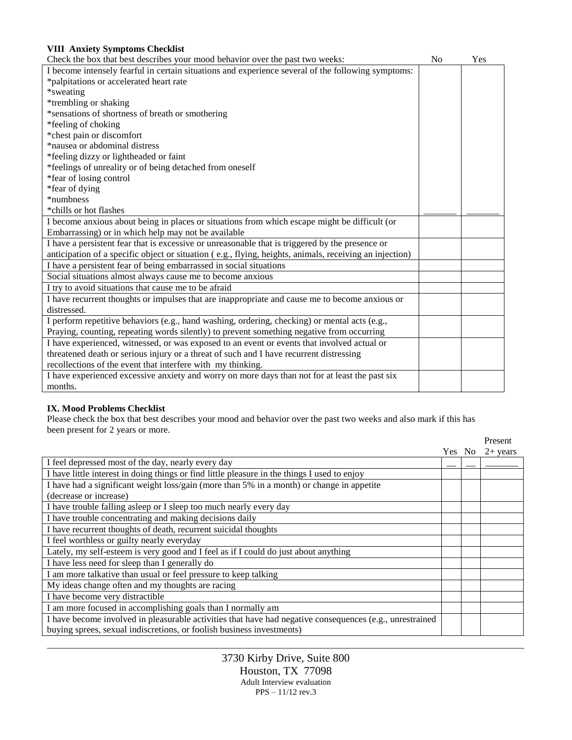| <b>VIII Anxiety Symptoms Checklist</b>                                                                  |                |     |
|---------------------------------------------------------------------------------------------------------|----------------|-----|
| Check the box that best describes your mood behavior over the past two weeks:                           | N <sub>0</sub> | Yes |
| I become intensely fearful in certain situations and experience several of the following symptoms:      |                |     |
| *palpitations or accelerated heart rate                                                                 |                |     |
| *sweating                                                                                               |                |     |
| *trembling or shaking                                                                                   |                |     |
| *sensations of shortness of breath or smothering                                                        |                |     |
| *feeling of choking                                                                                     |                |     |
| *chest pain or discomfort                                                                               |                |     |
| *nausea or abdominal distress                                                                           |                |     |
| *feeling dizzy or lightheaded or faint                                                                  |                |     |
| *feelings of unreality or of being detached from oneself                                                |                |     |
| *fear of losing control                                                                                 |                |     |
| *fear of dying                                                                                          |                |     |
| *numbness                                                                                               |                |     |
| *chills or hot flashes                                                                                  |                |     |
| I become anxious about being in places or situations from which escape might be difficult (or           |                |     |
| Embarrassing) or in which help may not be available                                                     |                |     |
| I have a persistent fear that is excessive or unreasonable that is triggered by the presence or         |                |     |
| anticipation of a specific object or situation (e.g., flying, heights, animals, receiving an injection) |                |     |
| I have a persistent fear of being embarrassed in social situations                                      |                |     |
| Social situations almost always cause me to become anxious                                              |                |     |
| I try to avoid situations that cause me to be afraid                                                    |                |     |
| I have recurrent thoughts or impulses that are inappropriate and cause me to become anxious or          |                |     |
| distressed.                                                                                             |                |     |
| I perform repetitive behaviors (e.g., hand washing, ordering, checking) or mental acts (e.g.,           |                |     |
| Praying, counting, repeating words silently) to prevent something negative from occurring               |                |     |
| I have experienced, witnessed, or was exposed to an event or events that involved actual or             |                |     |
| threatened death or serious injury or a threat of such and I have recurrent distressing                 |                |     |
| recollections of the event that interfere with my thinking.                                             |                |     |
| I have experienced excessive anxiety and worry on more days than not for at least the past six          |                |     |
| months.                                                                                                 |                |     |

# **IX. Mood Problems Checklist**

Please check the box that best describes your mood and behavior over the past two weeks and also mark if this has been present for 2 years or more.

|                                                                                                          |        | Present    |
|----------------------------------------------------------------------------------------------------------|--------|------------|
|                                                                                                          | Yes No | $2+$ years |
| I feel depressed most of the day, nearly every day                                                       |        |            |
| I have little interest in doing things or find little pleasure in the things I used to enjoy             |        |            |
| I have had a significant weight loss/gain (more than 5% in a month) or change in appetite                |        |            |
| (decrease or increase)                                                                                   |        |            |
| I have trouble falling asleep or I sleep too much nearly every day                                       |        |            |
| I have trouble concentrating and making decisions daily                                                  |        |            |
| I have recurrent thoughts of death, recurrent suicidal thoughts                                          |        |            |
| I feel worthless or guilty nearly everyday                                                               |        |            |
| Lately, my self-esteem is very good and I feel as if I could do just about anything                      |        |            |
| I have less need for sleep than I generally do                                                           |        |            |
| I am more talkative than usual or feel pressure to keep talking                                          |        |            |
| My ideas change often and my thoughts are racing                                                         |        |            |
| I have become very distractible                                                                          |        |            |
| I am more focused in accomplishing goals than I normally am                                              |        |            |
| I have become involved in pleasurable activities that have had negative consequences (e.g., unrestrained |        |            |
| buying sprees, sexual indiscretions, or foolish business investments)                                    |        |            |

3730 Kirby Drive, Suite 800 Houston, TX 77098 Adult Interview evaluation PPS – 11/12 rev.3